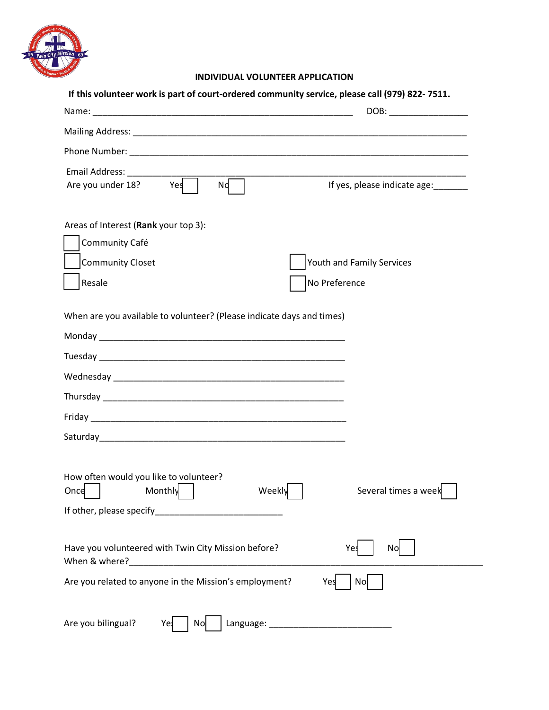

## **INDIVIDUAL VOLUNTEER APPLICATION**

|                                                                                          | DOB: New York Street, New York Street, New York Street, New York Street, New York Street, New York Street, New York Street, New York Street, New York Street, New York Street, New York Street, New York Street, New York Stre |
|------------------------------------------------------------------------------------------|--------------------------------------------------------------------------------------------------------------------------------------------------------------------------------------------------------------------------------|
|                                                                                          |                                                                                                                                                                                                                                |
|                                                                                          |                                                                                                                                                                                                                                |
| Email Address: _____________<br>Are you under 18? Yes<br>Nd                              | If yes, please indicate age:_______                                                                                                                                                                                            |
| Areas of Interest (Rank your top 3):<br>Community Café<br>Community Closet               | Youth and Family Services                                                                                                                                                                                                      |
| Resale                                                                                   | No Preference                                                                                                                                                                                                                  |
|                                                                                          |                                                                                                                                                                                                                                |
|                                                                                          |                                                                                                                                                                                                                                |
|                                                                                          |                                                                                                                                                                                                                                |
|                                                                                          |                                                                                                                                                                                                                                |
|                                                                                          |                                                                                                                                                                                                                                |
| How often would you like to volunteer?<br>Once   Monthly   Weekly   Several times a week |                                                                                                                                                                                                                                |
|                                                                                          |                                                                                                                                                                                                                                |
| Have you volunteered with Twin City Mission before?                                      | Yes<br>Nc                                                                                                                                                                                                                      |
| Are you related to anyone in the Mission's employment?                                   | No<br>Yes                                                                                                                                                                                                                      |
|                                                                                          |                                                                                                                                                                                                                                |